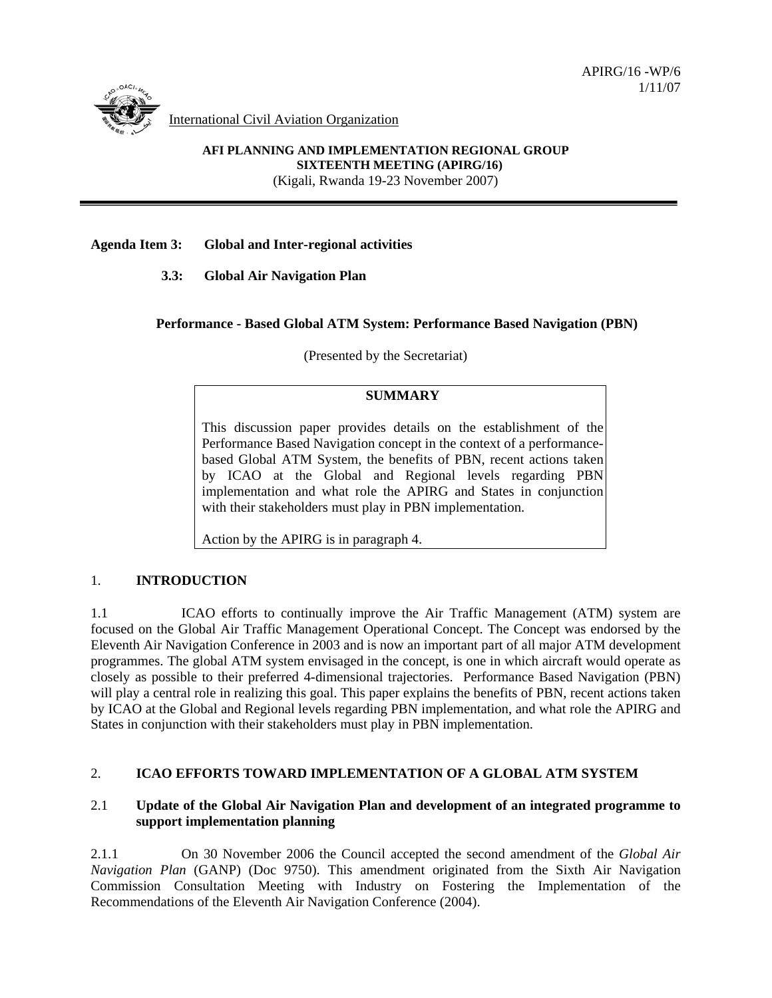

International Civil Aviation Organization

**AFI PLANNING AND IMPLEMENTATION REGIONAL GROUP SIXTEENTH MEETING (APIRG/16)**  (Kigali, Rwanda 19-23 November 2007)

### **Agenda Item 3: Global and Inter-regional activities**

 **3.3: Global Air Navigation Plan** 

### **Performance - Based Global ATM System: Performance Based Navigation (PBN)**

(Presented by the Secretariat)

#### **SUMMARY**

This discussion paper provides details on the establishment of the Performance Based Navigation concept in the context of a performancebased Global ATM System, the benefits of PBN, recent actions taken by ICAO at the Global and Regional levels regarding PBN implementation and what role the APIRG and States in conjunction with their stakeholders must play in PBN implementation.

Action by the APIRG is in paragraph 4.

### 1. **INTRODUCTION**

1.1 ICAO efforts to continually improve the Air Traffic Management (ATM) system are focused on the Global Air Traffic Management Operational Concept. The Concept was endorsed by the Eleventh Air Navigation Conference in 2003 and is now an important part of all major ATM development programmes. The global ATM system envisaged in the concept, is one in which aircraft would operate as closely as possible to their preferred 4-dimensional trajectories. Performance Based Navigation (PBN) will play a central role in realizing this goal. This paper explains the benefits of PBN, recent actions taken by ICAO at the Global and Regional levels regarding PBN implementation, and what role the APIRG and States in conjunction with their stakeholders must play in PBN implementation.

# 2. **ICAO EFFORTS TOWARD IMPLEMENTATION OF A GLOBAL ATM SYSTEM**

### 2.1 **Update of the Global Air Navigation Plan and development of an integrated programme to support implementation planning**

2.1.1 On 30 November 2006 the Council accepted the second amendment of the *Global Air Navigation Plan* (GANP) (Doc 9750). This amendment originated from the Sixth Air Navigation Commission Consultation Meeting with Industry on Fostering the Implementation of the Recommendations of the Eleventh Air Navigation Conference (2004).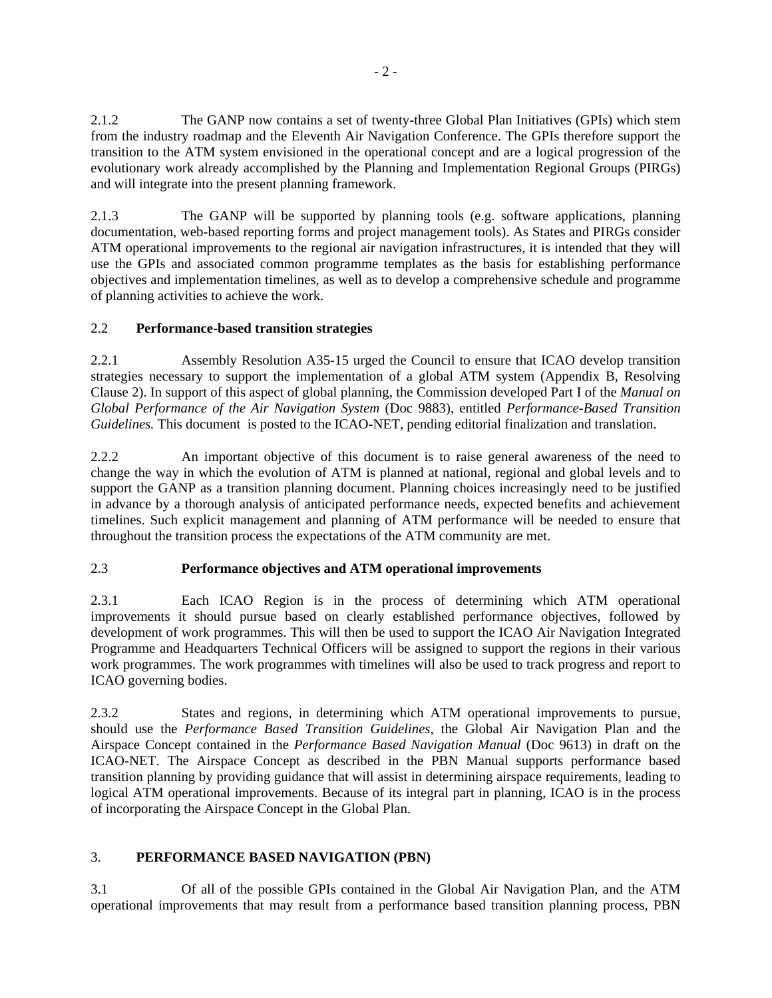2.1.2 The GANP now contains a set of twenty-three Global Plan Initiatives (GPIs) which stem from the industry roadmap and the Eleventh Air Navigation Conference. The GPIs therefore support the transition to the ATM system envisioned in the operational concept and are a logical progression of the evolutionary work already accomplished by the Planning and Implementation Regional Groups (PIRGs) and will integrate into the present planning framework.

2.1.3 The GANP will be supported by planning tools (e.g. software applications, planning documentation, web-based reporting forms and project management tools). As States and PIRGs consider ATM operational improvements to the regional air navigation infrastructures, it is intended that they will use the GPIs and associated common programme templates as the basis for establishing performance objectives and implementation timelines, as well as to develop a comprehensive schedule and programme of planning activities to achieve the work.

# 2.2 **Performance-based transition strategies**

2.2.1 Assembly Resolution A35-15 urged the Council to ensure that ICAO develop transition strategies necessary to support the implementation of a global ATM system (Appendix B, Resolving Clause 2). In support of this aspect of global planning, the Commission developed Part I of the *Manual on Global Performance of the Air Navigation System* (Doc 9883), entitled *Performance-Based Transition Guidelines.* This document is posted to the ICAO-NET, pending editorial finalization and translation.

2.2.2 An important objective of this document is to raise general awareness of the need to change the way in which the evolution of ATM is planned at national, regional and global levels and to support the GANP as a transition planning document. Planning choices increasingly need to be justified in advance by a thorough analysis of anticipated performance needs, expected benefits and achievement timelines. Such explicit management and planning of ATM performance will be needed to ensure that throughout the transition process the expectations of the ATM community are met.

# 2.3 **Performance objectives and ATM operational improvements**

2.3.1 Each ICAO Region is in the process of determining which ATM operational improvements it should pursue based on clearly established performance objectives, followed by development of work programmes. This will then be used to support the ICAO Air Navigation Integrated Programme and Headquarters Technical Officers will be assigned to support the regions in their various work programmes. The work programmes with timelines will also be used to track progress and report to ICAO governing bodies.

2.3.2 States and regions, in determining which ATM operational improvements to pursue, should use the *Performance Based Transition Guidelines*, the Global Air Navigation Plan and the Airspace Concept contained in the *Performance Based Navigation Manual* (Doc 9613) in draft on the ICAO-NET. The Airspace Concept as described in the PBN Manual supports performance based transition planning by providing guidance that will assist in determining airspace requirements, leading to logical ATM operational improvements. Because of its integral part in planning, ICAO is in the process of incorporating the Airspace Concept in the Global Plan.

# 3. **PERFORMANCE BASED NAVIGATION (PBN)**

3.1 Of all of the possible GPIs contained in the Global Air Navigation Plan, and the ATM operational improvements that may result from a performance based transition planning process, PBN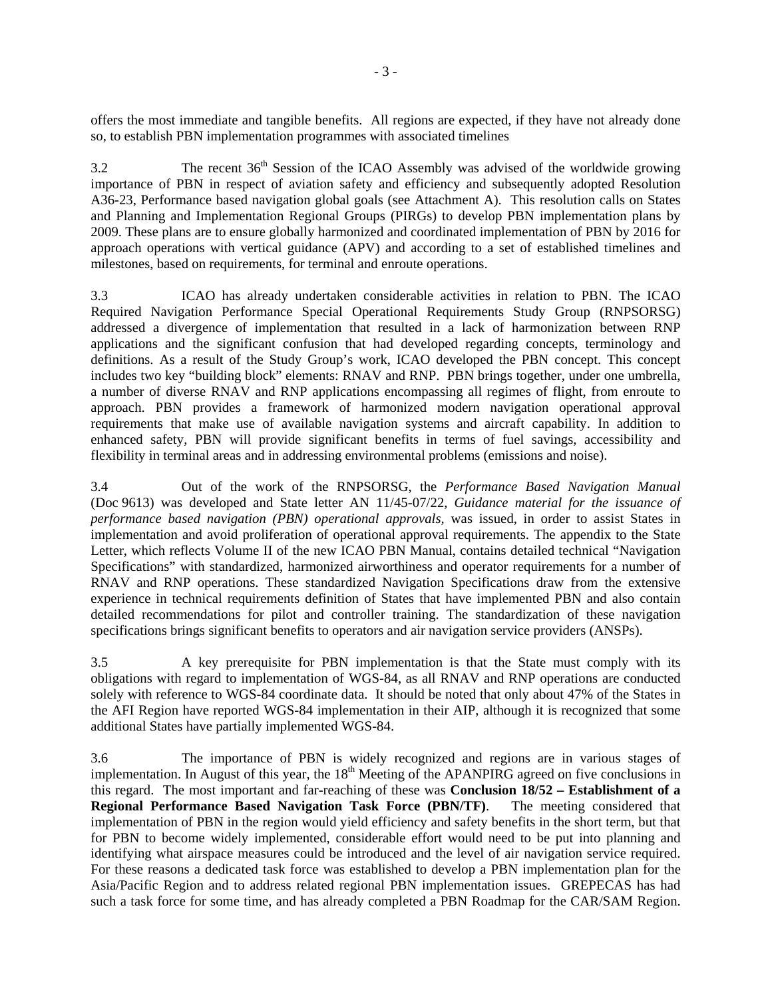offers the most immediate and tangible benefits. All regions are expected, if they have not already done so, to establish PBN implementation programmes with associated timelines

3.2 The recent 36<sup>th</sup> Session of the ICAO Assembly was advised of the worldwide growing importance of PBN in respect of aviation safety and efficiency and subsequently adopted Resolution A36-23, Performance based navigation global goals (see Attachment A). This resolution calls on States and Planning and Implementation Regional Groups (PIRGs) to develop PBN implementation plans by 2009. These plans are to ensure globally harmonized and coordinated implementation of PBN by 2016 for approach operations with vertical guidance (APV) and according to a set of established timelines and milestones, based on requirements, for terminal and enroute operations.

3.3 ICAO has already undertaken considerable activities in relation to PBN. The ICAO Required Navigation Performance Special Operational Requirements Study Group (RNPSORSG) addressed a divergence of implementation that resulted in a lack of harmonization between RNP applications and the significant confusion that had developed regarding concepts, terminology and definitions. As a result of the Study Group's work, ICAO developed the PBN concept. This concept includes two key "building block" elements: RNAV and RNP. PBN brings together, under one umbrella, a number of diverse RNAV and RNP applications encompassing all regimes of flight, from enroute to approach. PBN provides a framework of harmonized modern navigation operational approval requirements that make use of available navigation systems and aircraft capability. In addition to enhanced safety, PBN will provide significant benefits in terms of fuel savings, accessibility and flexibility in terminal areas and in addressing environmental problems (emissions and noise).

3.4 Out of the work of the RNPSORSG, the *Performance Based Navigation Manual*  (Doc 9613) was developed and State letter AN 11/45-07/22, *Guidance material for the issuance of performance based navigation (PBN) operational approvals,* was issued, in order to assist States in implementation and avoid proliferation of operational approval requirements. The appendix to the State Letter, which reflects Volume II of the new ICAO PBN Manual, contains detailed technical "Navigation Specifications" with standardized, harmonized airworthiness and operator requirements for a number of RNAV and RNP operations. These standardized Navigation Specifications draw from the extensive experience in technical requirements definition of States that have implemented PBN and also contain detailed recommendations for pilot and controller training. The standardization of these navigation specifications brings significant benefits to operators and air navigation service providers (ANSPs).

3.5 A key prerequisite for PBN implementation is that the State must comply with its obligations with regard to implementation of WGS-84, as all RNAV and RNP operations are conducted solely with reference to WGS-84 coordinate data. It should be noted that only about 47% of the States in the AFI Region have reported WGS-84 implementation in their AIP, although it is recognized that some additional States have partially implemented WGS-84.

3.6 The importance of PBN is widely recognized and regions are in various stages of implementation. In August of this year, the  $18<sup>th</sup>$  Meeting of the APANPIRG agreed on five conclusions in this regard. The most important and far-reaching of these was **Conclusion 18/52 – Establishment of a Regional Performance Based Navigation Task Force (PBN/TF)**. The meeting considered that implementation of PBN in the region would yield efficiency and safety benefits in the short term, but that for PBN to become widely implemented, considerable effort would need to be put into planning and identifying what airspace measures could be introduced and the level of air navigation service required. For these reasons a dedicated task force was established to develop a PBN implementation plan for the Asia/Pacific Region and to address related regional PBN implementation issues. GREPECAS has had such a task force for some time, and has already completed a PBN Roadmap for the CAR/SAM Region.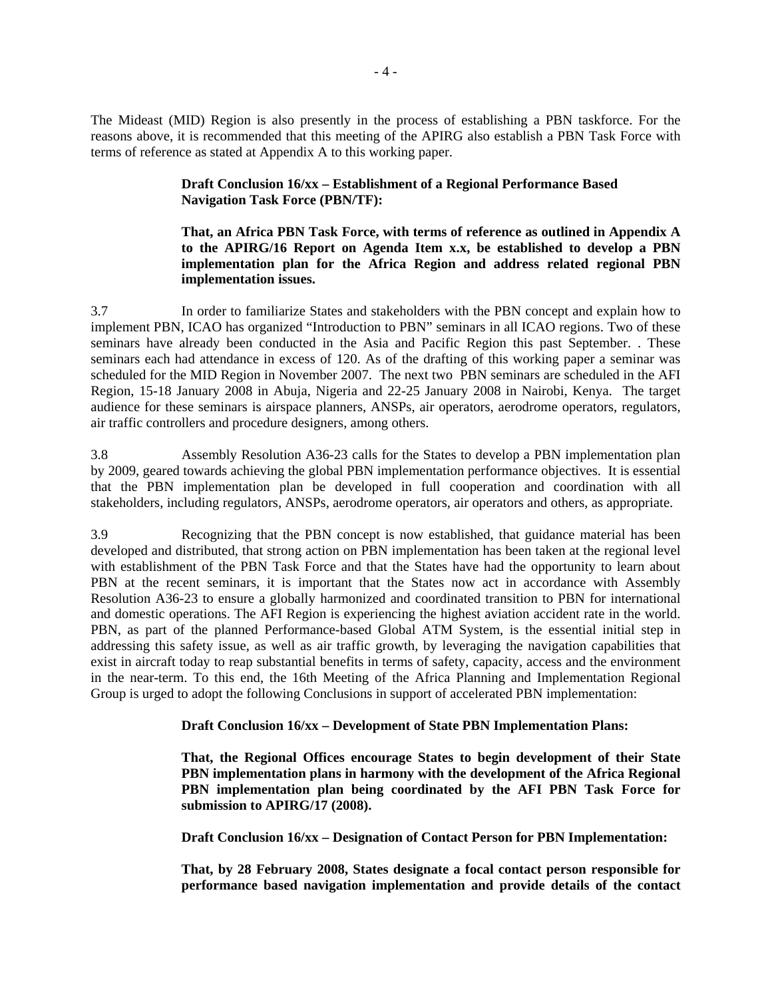The Mideast (MID) Region is also presently in the process of establishing a PBN taskforce. For the reasons above, it is recommended that this meeting of the APIRG also establish a PBN Task Force with terms of reference as stated at Appendix A to this working paper.

### **Draft Conclusion 16/xx – Establishment of a Regional Performance Based Navigation Task Force (PBN/TF):**

### **That, an Africa PBN Task Force, with terms of reference as outlined in Appendix A to the APIRG/16 Report on Agenda Item x.x, be established to develop a PBN implementation plan for the Africa Region and address related regional PBN implementation issues.**

3.7 In order to familiarize States and stakeholders with the PBN concept and explain how to implement PBN, ICAO has organized "Introduction to PBN" seminars in all ICAO regions. Two of these seminars have already been conducted in the Asia and Pacific Region this past September. . These seminars each had attendance in excess of 120. As of the drafting of this working paper a seminar was scheduled for the MID Region in November 2007. The next two PBN seminars are scheduled in the AFI Region, 15-18 January 2008 in Abuja, Nigeria and 22-25 January 2008 in Nairobi, Kenya. The target audience for these seminars is airspace planners, ANSPs, air operators, aerodrome operators, regulators, air traffic controllers and procedure designers, among others.

3.8 Assembly Resolution A36-23 calls for the States to develop a PBN implementation plan by 2009, geared towards achieving the global PBN implementation performance objectives. It is essential that the PBN implementation plan be developed in full cooperation and coordination with all stakeholders, including regulators, ANSPs, aerodrome operators, air operators and others, as appropriate.

3.9 Recognizing that the PBN concept is now established, that guidance material has been developed and distributed, that strong action on PBN implementation has been taken at the regional level with establishment of the PBN Task Force and that the States have had the opportunity to learn about PBN at the recent seminars, it is important that the States now act in accordance with Assembly Resolution A36-23 to ensure a globally harmonized and coordinated transition to PBN for international and domestic operations. The AFI Region is experiencing the highest aviation accident rate in the world. PBN, as part of the planned Performance-based Global ATM System, is the essential initial step in addressing this safety issue, as well as air traffic growth, by leveraging the navigation capabilities that exist in aircraft today to reap substantial benefits in terms of safety, capacity, access and the environment in the near-term. To this end, the 16th Meeting of the Africa Planning and Implementation Regional Group is urged to adopt the following Conclusions in support of accelerated PBN implementation:

### **Draft Conclusion 16/xx – Development of State PBN Implementation Plans:**

**That, the Regional Offices encourage States to begin development of their State PBN implementation plans in harmony with the development of the Africa Regional PBN implementation plan being coordinated by the AFI PBN Task Force for submission to APIRG/17 (2008).** 

**Draft Conclusion 16/xx – Designation of Contact Person for PBN Implementation:** 

**That, by 28 February 2008, States designate a focal contact person responsible for performance based navigation implementation and provide details of the contact**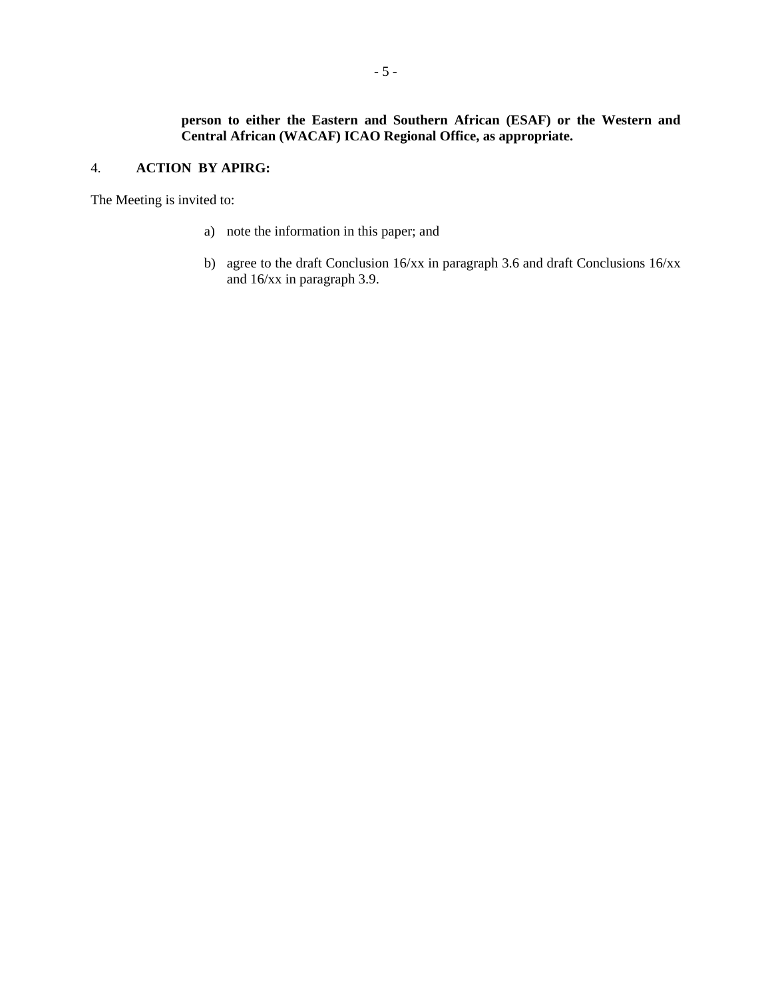# 4. **ACTION BY APIRG:**

The Meeting is invited to:

- a) note the information in this paper; and
- b) agree to the draft Conclusion 16/xx in paragraph 3.6 and draft Conclusions 16/xx and 16/xx in paragraph 3.9.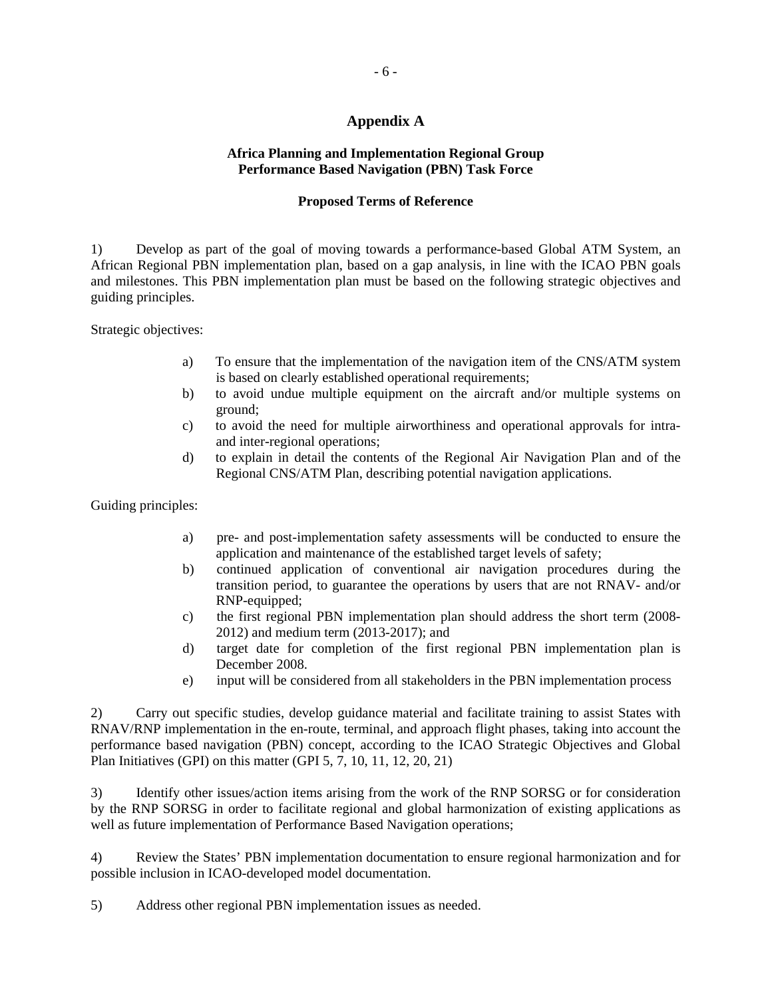## **Appendix A**

### **Africa Planning and Implementation Regional Group Performance Based Navigation (PBN) Task Force**

#### **Proposed Terms of Reference**

1) Develop as part of the goal of moving towards a performance-based Global ATM System, an African Regional PBN implementation plan, based on a gap analysis, in line with the ICAO PBN goals and milestones. This PBN implementation plan must be based on the following strategic objectives and guiding principles.

Strategic objectives:

- a) To ensure that the implementation of the navigation item of the CNS/ATM system is based on clearly established operational requirements;
- b) to avoid undue multiple equipment on the aircraft and/or multiple systems on ground;
- c) to avoid the need for multiple airworthiness and operational approvals for intraand inter-regional operations;
- d) to explain in detail the contents of the Regional Air Navigation Plan and of the Regional CNS/ATM Plan, describing potential navigation applications.

Guiding principles:

- a) pre- and post-implementation safety assessments will be conducted to ensure the application and maintenance of the established target levels of safety;
- b) continued application of conventional air navigation procedures during the transition period, to guarantee the operations by users that are not RNAV- and/or RNP-equipped;
- c) the first regional PBN implementation plan should address the short term (2008- 2012) and medium term (2013-2017); and
- d) target date for completion of the first regional PBN implementation plan is December 2008.
- e) input will be considered from all stakeholders in the PBN implementation process

2) Carry out specific studies, develop guidance material and facilitate training to assist States with RNAV/RNP implementation in the en-route, terminal, and approach flight phases, taking into account the performance based navigation (PBN) concept, according to the ICAO Strategic Objectives and Global Plan Initiatives (GPI) on this matter (GPI 5, 7, 10, 11, 12, 20, 21)

3) Identify other issues/action items arising from the work of the RNP SORSG or for consideration by the RNP SORSG in order to facilitate regional and global harmonization of existing applications as well as future implementation of Performance Based Navigation operations;

4) Review the States' PBN implementation documentation to ensure regional harmonization and for possible inclusion in ICAO-developed model documentation.

5) Address other regional PBN implementation issues as needed.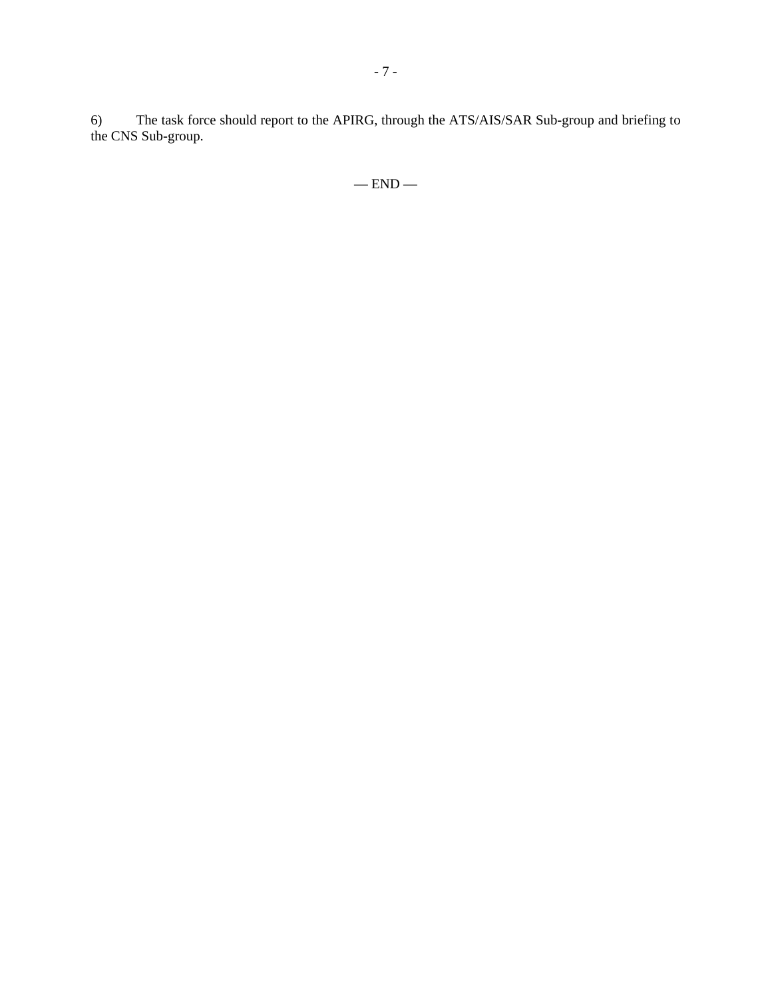6) The task force should report to the APIRG, through the ATS/AIS/SAR Sub-group and briefing to the CNS Sub-group.

 $-$  END  $-$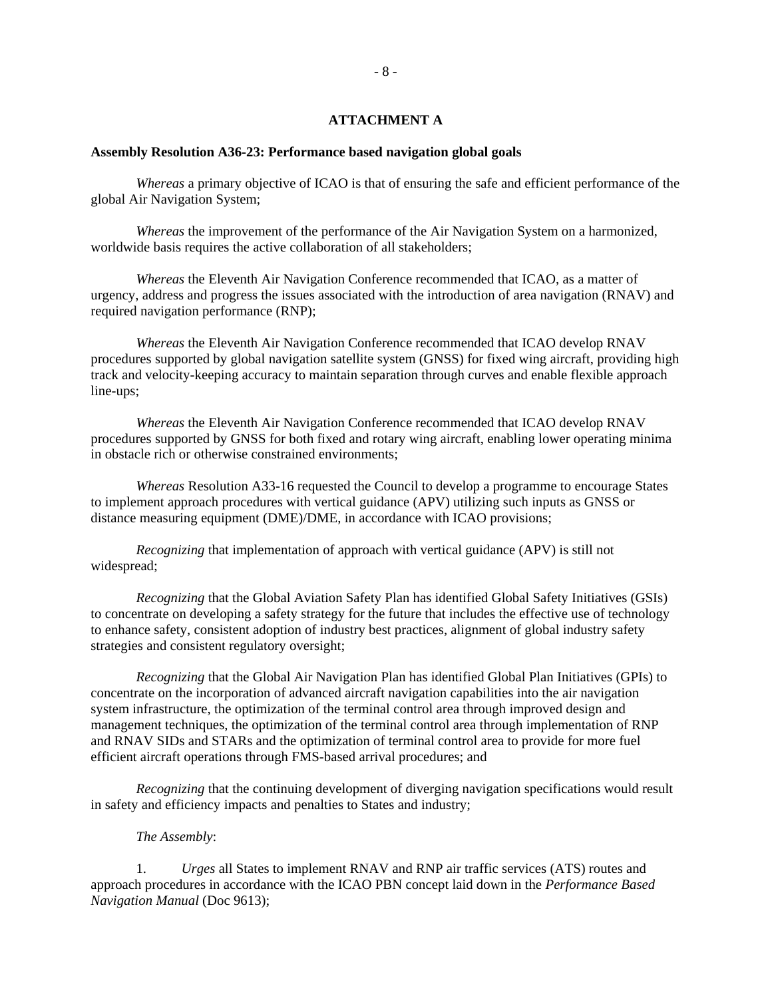#### **ATTACHMENT A**

#### **Assembly Resolution A36-23: Performance based navigation global goals**

*Whereas* a primary objective of ICAO is that of ensuring the safe and efficient performance of the global Air Navigation System;

*Whereas* the improvement of the performance of the Air Navigation System on a harmonized, worldwide basis requires the active collaboration of all stakeholders;

*Whereas* the Eleventh Air Navigation Conference recommended that ICAO, as a matter of urgency, address and progress the issues associated with the introduction of area navigation (RNAV) and required navigation performance (RNP);

*Whereas* the Eleventh Air Navigation Conference recommended that ICAO develop RNAV procedures supported by global navigation satellite system (GNSS) for fixed wing aircraft, providing high track and velocity-keeping accuracy to maintain separation through curves and enable flexible approach line-ups;

*Whereas* the Eleventh Air Navigation Conference recommended that ICAO develop RNAV procedures supported by GNSS for both fixed and rotary wing aircraft, enabling lower operating minima in obstacle rich or otherwise constrained environments;

*Whereas* Resolution A33-16 requested the Council to develop a programme to encourage States to implement approach procedures with vertical guidance (APV) utilizing such inputs as GNSS or distance measuring equipment (DME)/DME, in accordance with ICAO provisions;

*Recognizing* that implementation of approach with vertical guidance (APV) is still not widespread;

*Recognizing* that the Global Aviation Safety Plan has identified Global Safety Initiatives (GSIs) to concentrate on developing a safety strategy for the future that includes the effective use of technology to enhance safety, consistent adoption of industry best practices, alignment of global industry safety strategies and consistent regulatory oversight;

*Recognizing* that the Global Air Navigation Plan has identified Global Plan Initiatives (GPIs) to concentrate on the incorporation of advanced aircraft navigation capabilities into the air navigation system infrastructure, the optimization of the terminal control area through improved design and management techniques, the optimization of the terminal control area through implementation of RNP and RNAV SIDs and STARs and the optimization of terminal control area to provide for more fuel efficient aircraft operations through FMS-based arrival procedures; and

*Recognizing* that the continuing development of diverging navigation specifications would result in safety and efficiency impacts and penalties to States and industry;

#### *The Assembly*:

1. *Urges* all States to implement RNAV and RNP air traffic services (ATS) routes and approach procedures in accordance with the ICAO PBN concept laid down in the *Performance Based Navigation Manual* (Doc 9613);